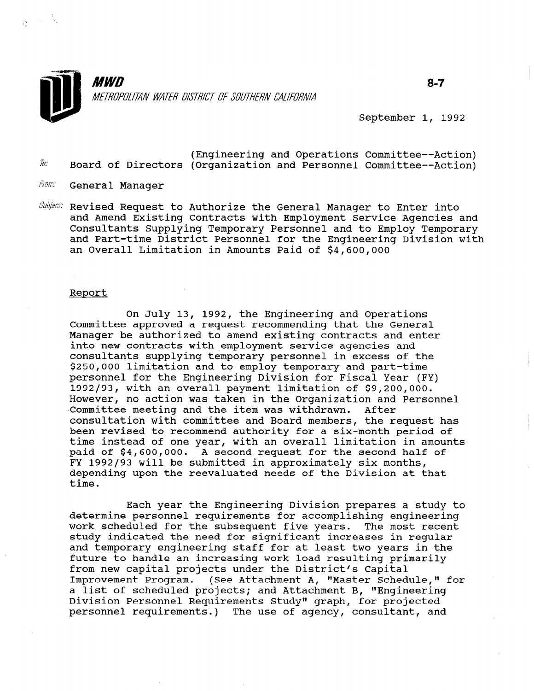

 $8 - 7$ 

September 1, 1992

- $32$ : (Engineering and Operations Committee--Action) Board of Directors (Organization and Personnel Committee--Action)
- Fram: General Manager
- Subject: Revised Request to Authorize the General Manager to Enter into and Amend Existing Contracts with Employment Service Agencies and Consultants Supplying Temporary Personnel and to Employ Temporary and Part-time District Personnel for the Engineering Division with an Overall Limitation in Amounts Paid of \$4,600,000

#### Report

On July 13, 1992, the Engineering and Operations Committee approved a request recommending that the General Manager be authorized to amend existing contracts and enter into new contracts with employment service agencies and consultants supplying temporary personnel in excess of the \$250,000 limitation and to employ temporary and part-time personnel for the Engineering Division for Fiscal Year (FY) 1992193, with an overall payment limitation of \$9,200,000. However, no action was taken in the Organization and Personnel Committee meeting and the item was withdrawn. After consultation with committee and Board members, the request has been revised to recommend authority for a six-month period of time instead of one year, with an overall limitation in amounts paid of \$4,600,000. A second request for the second half of FY 1992/93 will be submitted in approximately six months, depending upon the reevaluated needs of the Division at that time.

Each year the Engineering Division prepares a study to determine personnel requirements for accomplishing engineering work scheduled for the subsequent five years. The most recent work scheduled for the subsequent five years. The most record and temporary engineering staff for at least two years in the dhu temporary engineering starr for at feast two years in future to handle an increasing work load resulting primarily<br>from new capital projects under the District's Capital Improvement Program. (See Attachment A, "Master Schedule," for a list of scheduled projects; and Attachment B, "Master Schedule a list of scheduled projects; and Attachment B, "Engineering Division Personnel Requirements Study" graph, for projected<br>personnel requirements.) The use of agency, consultant, and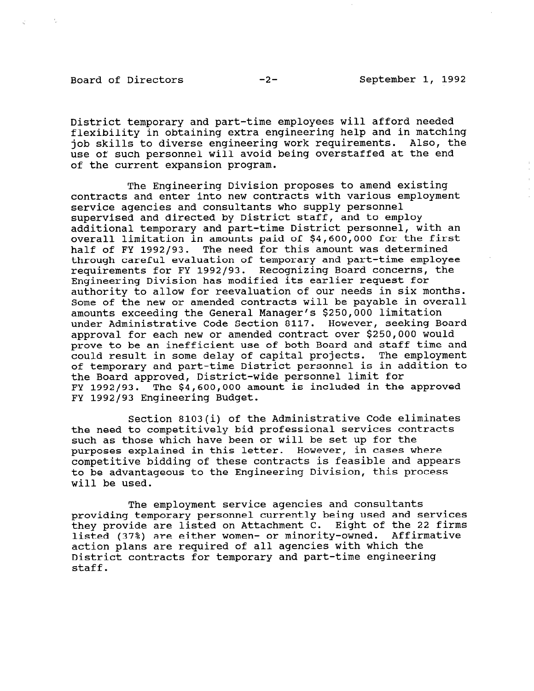Board of Directors -2- September 1, 1992

District temporary and part-time employees will afford needed flexibility in obtaining extra engineering help and in matching job skills to diverse engineering work requirements. Also, the use of such personnel will avoid being overstaffed at the end of the current expansion program.

The Engineering Division proposes to amend existing contracts and enter into new contracts with various employment service agencies and consultants who supply personnel supervised and directed by District staff, and to employ additional temporary and part-time District personnel, with an overall limitation in amounts paid of \$4,600,000 for the first half of FY 1992/93. The need for this amount was determined through careful evaluation of temporary and part-time employee requirements for FY 1992/93. Recognizing Board concerns, the Engineering Division has modified its earlier request for authority to allow for reevaluation of our needs in six months. Some of the new or amended contracts will be payable in overall amounts exceeding the General Manager's \$250,000 limitation under Administrative Code Section 8117. However, seeking Board approval for each new or amended contract over \$250,000 would prove to be an inefficient use of both Board and staff time and could result in some delay of capital projects. The employment of temporary and part-time District personnel is in addition to the Board approved, District-wide personnel limit for FY 1992/93. The  $$4,600,000$  amount is included in the approved FY 1992/93 Engineering Budget.

Section 8103(i) of the Administrative Code eliminates the need to competitively bid professional services contracts such as those which have been or will be set up for the purposes explained in this letter. However, in cases where competitive bidding of these contracts is feasible and appears to be advantageous to the Engineering Division, this process will be used.

The employment service agencies and consultants providing temporary personnel currently being used and services providing temporary personner currentry being used and service<br>they provide are listed on Attachment C. Eight of the 22 firm LIEY Provide are fisted on Attachment C. Eight of the 22. listed (37%) are either women- or minority-owned. Affirmative action plans are required of all agencies with which the District contracts for temporary and part-time engineering staff.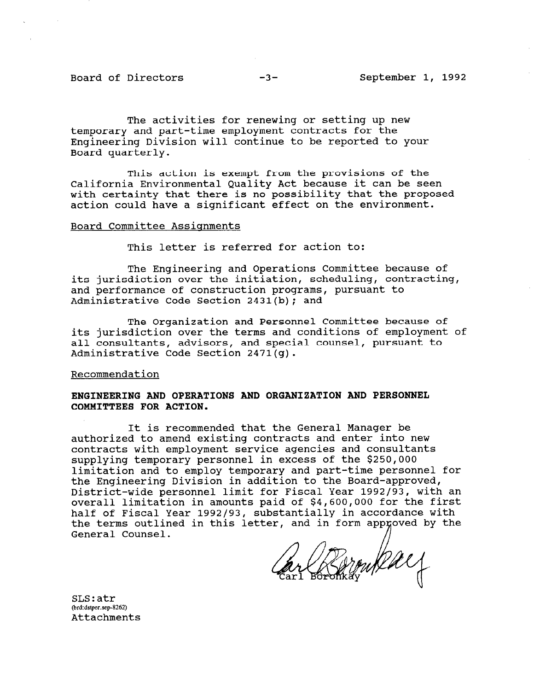The activities for renewing or setting up new temporary and part-time employment contracts for the Engineering Division will continue to be reported to your Board quarterly.

This action is exempt from the provisions of the California Environmental Quality Act because it can be seen with certainty that there is no possibility that the proposed action could have a significant effect on the environment.

#### Board Committee Assignments

This letter is referred for action to:

The Engineering and Operations Committee because of its jurisdiction over the initiation, scheduling, contracting, and performance of construction programs, pursuant to Administrative Code Section 2431(b); and

The Organization and Personnel Committee because of its jurisdiction over the terms and conditions of employment of all consultants, advisors, and special counsel, pursuant to Administrative Code Section 2471(g).

## Recommendation

## ENGINEERING AND OPERATIONS AND ORGANIZATION AND PERSONNEL COMMITTEES FOR ACTION.

It is recommended that the General Manager be authorized to amend existing contracts and enter into new contracts with employment service agencies and consultants supplying temporary personnel in excess of the \$250,000 limitation and to employ temporary and part-time personnel for the Engineering Division in addition to the Board-approved, District-wide personnel limit for Fiscal Year 1992/93, with an overall limitation in amounts paid of \$4,600,000 for the first half of Fiscal Year 1992/93, substantially in accordance with the terms outlined in this letter, and in form approved by the General Counsel.

okay

 $\sigma$ strations and  $\sigma$  $\mathsf{S}$  proper. (brd:dstper.sep-8262)<br>Attachments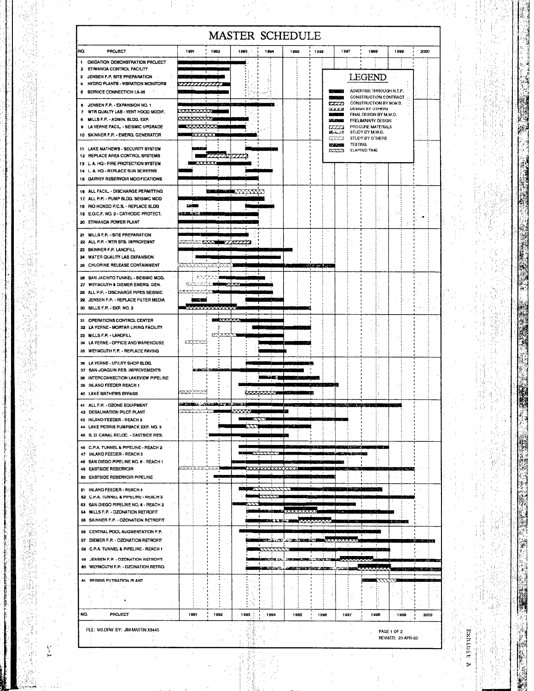| NO.<br><b>PROJECT</b><br>1992<br>1994<br>1997<br>1998<br>1999<br>.2000<br>1991<br>1993.<br>1995<br>1938<br><b>OXIDATION DEMONSTRATION PROJECT</b><br>1<br>2 ETIWANDA CONTROL FACILITY<br><b>LEGEND</b><br>3 JENSEN F.P. SITE PREPARATION<br><b>HYDRO PLANTS - VIBRATION MONITORS</b><br>4<br>ADVERTISE THROUGH N.T.P.<br>5 SERVICE CONNECTION LA-35<br>CONSTRUCTION CONTRACT<br><b>STATISTICS</b><br>CONSTRUCTION BY M.W.D.<br>777 Z<br>8 JENSEN F.P. - EXPANSION NO. 1<br>DESIGN BY OTHERS<br><b>IXXXX</b><br>7 WIR QUALTY LAB - VENT HOOD MODIF.<br>FINAL DESIGN BY M.W.D.<br>8 MILLS F.P. - ADMIN. BLDG. EXP.<br>PRELIMINARY DESIGN<br><b><i>Pathan Committee</i></b><br>9 LA VERNE FACIL - SEISMIC UPGRADE<br>PROCURE MATERIALS<br>17771<br>STUDY BY M.W.D.<br>ille e c'h<br>10 SKINNER F.P. - EMERG. GENERATOR<br>STUDY BY OTHERS<br><b>IZXX.51</b><br><b>TESTING</b><br><b>In Table</b><br>11 LAKE MATHEWS - SECURITY SYSTEM<br>المنازلة والمعاد<br>ELAPSED TIME<br><b>LATA</b><br>12 REPLACE AREA CONTROL SYSTEMS<br>7777.NYTTI.I<br>13 L.A. HO - FIRE PROTECTION SYSTEM<br>14 L.A. HQ - REPLACE SUN SCREENS<br>15 GARVEY RESERVOIR MODIFICATIONS<br>18 ALL FACIL - DISCHARGE PERMITTING<br>لسفادهم<br>17 ALL P.P. - PUMP BLDG. SEISMIC MOD<br><b>CAN BE</b><br>18 RIO HONDO P.C.S. - REPLACE BLDG<br>19 E.O.C.F. NO. 2 - CATHODIC PROTECT.<br>the two Appeals<br>20 ETIWANDA POWER PLANT<br>21 MILLS F.P. - SITE PREPARATION<br>22 ALL P.P. - WTR SYS. IMPROVEMNT<br><b>NA</b><br>23 SKINNER F.P. LANDFILL<br>24 WATER QUALITY LAB EXPANSION<br>25 CHLORINE RELEASE CONTAINMENT<br>网络大学公司<br>حددة<br>28 SAN JACINTO TUNNEL - SEISMIC MOD.<br>27 WEYMOUTH & DIEMER EMERG. GEN.<br>28 ALL P.P. - DISCHARGE PIPES SEISMIC<br>29 JENSEN F.P. - REPLACE FILTER MEDIA<br>الكالكات<br>30 MILLS F.P. EXP. NO. 2<br><b>XXXXXXXX</b><br>31 OPERATIONS CONTROL CENTER<br>▅▅▅<br>32 LA VERNE - MORTAR LINING FACILITY<br>33 MILLS F.P. - LANDFILL<br><b>22.22</b><br>5335253<br>34 LA VERNE - OFFICE AND WAREHOUSE<br>35 WEYMOUTH F.P. - REPLACE PAVING<br>38 LA VERNE - UTILITY SHOP BLDG.<br>37 SAN JOAQUIN RES. IMPROVEMENTS<br><b>BEST TEST EXPERIENCE</b><br>38 INTERCONNECTION LAKEVIEW PIPELINE<br>39 INLAND FEEDER REACH 1<br>40 LAKE MATHEWS BYPASS<br><u>istenda Lteranet bu nerdi</u><br>41 ALL F.P. - OZONE EQUIPMENT<br><b>THE CALL AND RESIDENCE IN A SECOND CONTRACTOR</b><br>محارب الأربان<br>تجديده<br>42 DESALINATION PILOT PLANT<br>43 INLAND FEEDER - REACH 2<br>s may<br>.<br>44 LAKE PERRIS PUMPBACK EXP. NO. 3<br>45 S. D. CANAL RELOC. - EASTSIDE RES.<br>48 C.P.A. TUNNEL & PIPELINE - REACH 2<br><b>PERSONAL PROPERTY</b><br>1.7.7.7.1<br>.<br>73 Y.<br>and the first state of the state of<br>47 INLAND FEEDER - REACH 3<br>48 SAN DIEGO PIPELINE NO. 6 - REACH 1<br>CXXX'X S<br>49 EASTSIDE RESERVOIR<br><b>ALCOHOL: A DISPLAY AND A DISPLAY</b><br>50 EASTSIDE RESERVOIR PIPELINE<br><b>BARBERY</b><br>أألحده والمتفارين والمعتدد ودوان<br>51 INLAND FEEDER - REACH 4<br>62 C.P.A. TUNNEL & PIPELINE - REACH 3<br>53 SAN DIEGO PIPELINE NO. 6 - REACH 2<br>54 MILLS F.P. - OZONATION RETROFIT<br>$\cdots$<br>65 SKINNER F.P. - OZONATION RETROFIT<br><b>The Second Street</b><br>58 CENTRAL POOL AUGMENTATION F.P.<br>67 DIEMER F.P. - OZONATION RETROFIT<br>الممتنقانة<br>58 C.P.A. TUNNEL & PIPELINE - REACH 1<br>59 JENSEN F.P. - OZONATION RETROFIT<br><b>REAL AVENUE AVE</b><br>THE REPORT OF STATISTICS.<br>113071770<br><b>CONTRACTOR</b><br>60 WEYMOUTH F.P. - OZONATION RETRO.<br><b>BULLER ARE TANK TO A PROPERTY OF BUILDING.</b><br>والمقابلات<br>2000 30000<br><b>61 PERRIS FILTRATION PLANT</b><br>NO.<br><b>PROJECT</b><br>1991<br>1992<br>1993<br>1994<br>1995<br>1996<br>1997<br>1999<br>$+1999$<br>2000<br>FILE: MS.DRW BY: JIM MARTIN X6445<br>PAGE 1 OF 2<br>REVISED: 23-APR-92<br>ਹ |  | <b>MASTER SCHEDULE</b> |  |  |  |
|-----------------------------------------------------------------------------------------------------------------------------------------------------------------------------------------------------------------------------------------------------------------------------------------------------------------------------------------------------------------------------------------------------------------------------------------------------------------------------------------------------------------------------------------------------------------------------------------------------------------------------------------------------------------------------------------------------------------------------------------------------------------------------------------------------------------------------------------------------------------------------------------------------------------------------------------------------------------------------------------------------------------------------------------------------------------------------------------------------------------------------------------------------------------------------------------------------------------------------------------------------------------------------------------------------------------------------------------------------------------------------------------------------------------------------------------------------------------------------------------------------------------------------------------------------------------------------------------------------------------------------------------------------------------------------------------------------------------------------------------------------------------------------------------------------------------------------------------------------------------------------------------------------------------------------------------------------------------------------------------------------------------------------------------------------------------------------------------------------------------------------------------------------------------------------------------------------------------------------------------------------------------------------------------------------------------------------------------------------------------------------------------------------------------------------------------------------------------------------------------------------------------------------------------------------------------------------------------------------------------------------------------------------------------------------------------------------------------------------------------------------------------------------------------------------------------------------------------------------------------------------------------------------------------------------------------------------------------------------------------------------------------------------------------------------------------------------------------------------------------------------------------------------------------------------------------------------------------------------------------------------------------------------------------------------------------------------------------------------------------------------------------------------------------------------------------------------------------------------------------------------------------------------------------------------------------------------------------------------------------------------------------------------------------------------------------------------------------------------------------------------------------------------------------------------------------------------------|--|------------------------|--|--|--|
|                                                                                                                                                                                                                                                                                                                                                                                                                                                                                                                                                                                                                                                                                                                                                                                                                                                                                                                                                                                                                                                                                                                                                                                                                                                                                                                                                                                                                                                                                                                                                                                                                                                                                                                                                                                                                                                                                                                                                                                                                                                                                                                                                                                                                                                                                                                                                                                                                                                                                                                                                                                                                                                                                                                                                                                                                                                                                                                                                                                                                                                                                                                                                                                                                                                                                                                                                                                                                                                                                                                                                                                                                                                                                                                                                                                                                                   |  |                        |  |  |  |
|                                                                                                                                                                                                                                                                                                                                                                                                                                                                                                                                                                                                                                                                                                                                                                                                                                                                                                                                                                                                                                                                                                                                                                                                                                                                                                                                                                                                                                                                                                                                                                                                                                                                                                                                                                                                                                                                                                                                                                                                                                                                                                                                                                                                                                                                                                                                                                                                                                                                                                                                                                                                                                                                                                                                                                                                                                                                                                                                                                                                                                                                                                                                                                                                                                                                                                                                                                                                                                                                                                                                                                                                                                                                                                                                                                                                                                   |  |                        |  |  |  |
|                                                                                                                                                                                                                                                                                                                                                                                                                                                                                                                                                                                                                                                                                                                                                                                                                                                                                                                                                                                                                                                                                                                                                                                                                                                                                                                                                                                                                                                                                                                                                                                                                                                                                                                                                                                                                                                                                                                                                                                                                                                                                                                                                                                                                                                                                                                                                                                                                                                                                                                                                                                                                                                                                                                                                                                                                                                                                                                                                                                                                                                                                                                                                                                                                                                                                                                                                                                                                                                                                                                                                                                                                                                                                                                                                                                                                                   |  |                        |  |  |  |
|                                                                                                                                                                                                                                                                                                                                                                                                                                                                                                                                                                                                                                                                                                                                                                                                                                                                                                                                                                                                                                                                                                                                                                                                                                                                                                                                                                                                                                                                                                                                                                                                                                                                                                                                                                                                                                                                                                                                                                                                                                                                                                                                                                                                                                                                                                                                                                                                                                                                                                                                                                                                                                                                                                                                                                                                                                                                                                                                                                                                                                                                                                                                                                                                                                                                                                                                                                                                                                                                                                                                                                                                                                                                                                                                                                                                                                   |  |                        |  |  |  |
|                                                                                                                                                                                                                                                                                                                                                                                                                                                                                                                                                                                                                                                                                                                                                                                                                                                                                                                                                                                                                                                                                                                                                                                                                                                                                                                                                                                                                                                                                                                                                                                                                                                                                                                                                                                                                                                                                                                                                                                                                                                                                                                                                                                                                                                                                                                                                                                                                                                                                                                                                                                                                                                                                                                                                                                                                                                                                                                                                                                                                                                                                                                                                                                                                                                                                                                                                                                                                                                                                                                                                                                                                                                                                                                                                                                                                                   |  |                        |  |  |  |
|                                                                                                                                                                                                                                                                                                                                                                                                                                                                                                                                                                                                                                                                                                                                                                                                                                                                                                                                                                                                                                                                                                                                                                                                                                                                                                                                                                                                                                                                                                                                                                                                                                                                                                                                                                                                                                                                                                                                                                                                                                                                                                                                                                                                                                                                                                                                                                                                                                                                                                                                                                                                                                                                                                                                                                                                                                                                                                                                                                                                                                                                                                                                                                                                                                                                                                                                                                                                                                                                                                                                                                                                                                                                                                                                                                                                                                   |  |                        |  |  |  |
|                                                                                                                                                                                                                                                                                                                                                                                                                                                                                                                                                                                                                                                                                                                                                                                                                                                                                                                                                                                                                                                                                                                                                                                                                                                                                                                                                                                                                                                                                                                                                                                                                                                                                                                                                                                                                                                                                                                                                                                                                                                                                                                                                                                                                                                                                                                                                                                                                                                                                                                                                                                                                                                                                                                                                                                                                                                                                                                                                                                                                                                                                                                                                                                                                                                                                                                                                                                                                                                                                                                                                                                                                                                                                                                                                                                                                                   |  |                        |  |  |  |
|                                                                                                                                                                                                                                                                                                                                                                                                                                                                                                                                                                                                                                                                                                                                                                                                                                                                                                                                                                                                                                                                                                                                                                                                                                                                                                                                                                                                                                                                                                                                                                                                                                                                                                                                                                                                                                                                                                                                                                                                                                                                                                                                                                                                                                                                                                                                                                                                                                                                                                                                                                                                                                                                                                                                                                                                                                                                                                                                                                                                                                                                                                                                                                                                                                                                                                                                                                                                                                                                                                                                                                                                                                                                                                                                                                                                                                   |  |                        |  |  |  |
|                                                                                                                                                                                                                                                                                                                                                                                                                                                                                                                                                                                                                                                                                                                                                                                                                                                                                                                                                                                                                                                                                                                                                                                                                                                                                                                                                                                                                                                                                                                                                                                                                                                                                                                                                                                                                                                                                                                                                                                                                                                                                                                                                                                                                                                                                                                                                                                                                                                                                                                                                                                                                                                                                                                                                                                                                                                                                                                                                                                                                                                                                                                                                                                                                                                                                                                                                                                                                                                                                                                                                                                                                                                                                                                                                                                                                                   |  |                        |  |  |  |
|                                                                                                                                                                                                                                                                                                                                                                                                                                                                                                                                                                                                                                                                                                                                                                                                                                                                                                                                                                                                                                                                                                                                                                                                                                                                                                                                                                                                                                                                                                                                                                                                                                                                                                                                                                                                                                                                                                                                                                                                                                                                                                                                                                                                                                                                                                                                                                                                                                                                                                                                                                                                                                                                                                                                                                                                                                                                                                                                                                                                                                                                                                                                                                                                                                                                                                                                                                                                                                                                                                                                                                                                                                                                                                                                                                                                                                   |  |                        |  |  |  |
|                                                                                                                                                                                                                                                                                                                                                                                                                                                                                                                                                                                                                                                                                                                                                                                                                                                                                                                                                                                                                                                                                                                                                                                                                                                                                                                                                                                                                                                                                                                                                                                                                                                                                                                                                                                                                                                                                                                                                                                                                                                                                                                                                                                                                                                                                                                                                                                                                                                                                                                                                                                                                                                                                                                                                                                                                                                                                                                                                                                                                                                                                                                                                                                                                                                                                                                                                                                                                                                                                                                                                                                                                                                                                                                                                                                                                                   |  |                        |  |  |  |
|                                                                                                                                                                                                                                                                                                                                                                                                                                                                                                                                                                                                                                                                                                                                                                                                                                                                                                                                                                                                                                                                                                                                                                                                                                                                                                                                                                                                                                                                                                                                                                                                                                                                                                                                                                                                                                                                                                                                                                                                                                                                                                                                                                                                                                                                                                                                                                                                                                                                                                                                                                                                                                                                                                                                                                                                                                                                                                                                                                                                                                                                                                                                                                                                                                                                                                                                                                                                                                                                                                                                                                                                                                                                                                                                                                                                                                   |  |                        |  |  |  |
|                                                                                                                                                                                                                                                                                                                                                                                                                                                                                                                                                                                                                                                                                                                                                                                                                                                                                                                                                                                                                                                                                                                                                                                                                                                                                                                                                                                                                                                                                                                                                                                                                                                                                                                                                                                                                                                                                                                                                                                                                                                                                                                                                                                                                                                                                                                                                                                                                                                                                                                                                                                                                                                                                                                                                                                                                                                                                                                                                                                                                                                                                                                                                                                                                                                                                                                                                                                                                                                                                                                                                                                                                                                                                                                                                                                                                                   |  |                        |  |  |  |
|                                                                                                                                                                                                                                                                                                                                                                                                                                                                                                                                                                                                                                                                                                                                                                                                                                                                                                                                                                                                                                                                                                                                                                                                                                                                                                                                                                                                                                                                                                                                                                                                                                                                                                                                                                                                                                                                                                                                                                                                                                                                                                                                                                                                                                                                                                                                                                                                                                                                                                                                                                                                                                                                                                                                                                                                                                                                                                                                                                                                                                                                                                                                                                                                                                                                                                                                                                                                                                                                                                                                                                                                                                                                                                                                                                                                                                   |  |                        |  |  |  |
|                                                                                                                                                                                                                                                                                                                                                                                                                                                                                                                                                                                                                                                                                                                                                                                                                                                                                                                                                                                                                                                                                                                                                                                                                                                                                                                                                                                                                                                                                                                                                                                                                                                                                                                                                                                                                                                                                                                                                                                                                                                                                                                                                                                                                                                                                                                                                                                                                                                                                                                                                                                                                                                                                                                                                                                                                                                                                                                                                                                                                                                                                                                                                                                                                                                                                                                                                                                                                                                                                                                                                                                                                                                                                                                                                                                                                                   |  |                        |  |  |  |
|                                                                                                                                                                                                                                                                                                                                                                                                                                                                                                                                                                                                                                                                                                                                                                                                                                                                                                                                                                                                                                                                                                                                                                                                                                                                                                                                                                                                                                                                                                                                                                                                                                                                                                                                                                                                                                                                                                                                                                                                                                                                                                                                                                                                                                                                                                                                                                                                                                                                                                                                                                                                                                                                                                                                                                                                                                                                                                                                                                                                                                                                                                                                                                                                                                                                                                                                                                                                                                                                                                                                                                                                                                                                                                                                                                                                                                   |  |                        |  |  |  |
|                                                                                                                                                                                                                                                                                                                                                                                                                                                                                                                                                                                                                                                                                                                                                                                                                                                                                                                                                                                                                                                                                                                                                                                                                                                                                                                                                                                                                                                                                                                                                                                                                                                                                                                                                                                                                                                                                                                                                                                                                                                                                                                                                                                                                                                                                                                                                                                                                                                                                                                                                                                                                                                                                                                                                                                                                                                                                                                                                                                                                                                                                                                                                                                                                                                                                                                                                                                                                                                                                                                                                                                                                                                                                                                                                                                                                                   |  |                        |  |  |  |
|                                                                                                                                                                                                                                                                                                                                                                                                                                                                                                                                                                                                                                                                                                                                                                                                                                                                                                                                                                                                                                                                                                                                                                                                                                                                                                                                                                                                                                                                                                                                                                                                                                                                                                                                                                                                                                                                                                                                                                                                                                                                                                                                                                                                                                                                                                                                                                                                                                                                                                                                                                                                                                                                                                                                                                                                                                                                                                                                                                                                                                                                                                                                                                                                                                                                                                                                                                                                                                                                                                                                                                                                                                                                                                                                                                                                                                   |  |                        |  |  |  |
|                                                                                                                                                                                                                                                                                                                                                                                                                                                                                                                                                                                                                                                                                                                                                                                                                                                                                                                                                                                                                                                                                                                                                                                                                                                                                                                                                                                                                                                                                                                                                                                                                                                                                                                                                                                                                                                                                                                                                                                                                                                                                                                                                                                                                                                                                                                                                                                                                                                                                                                                                                                                                                                                                                                                                                                                                                                                                                                                                                                                                                                                                                                                                                                                                                                                                                                                                                                                                                                                                                                                                                                                                                                                                                                                                                                                                                   |  |                        |  |  |  |
|                                                                                                                                                                                                                                                                                                                                                                                                                                                                                                                                                                                                                                                                                                                                                                                                                                                                                                                                                                                                                                                                                                                                                                                                                                                                                                                                                                                                                                                                                                                                                                                                                                                                                                                                                                                                                                                                                                                                                                                                                                                                                                                                                                                                                                                                                                                                                                                                                                                                                                                                                                                                                                                                                                                                                                                                                                                                                                                                                                                                                                                                                                                                                                                                                                                                                                                                                                                                                                                                                                                                                                                                                                                                                                                                                                                                                                   |  |                        |  |  |  |
|                                                                                                                                                                                                                                                                                                                                                                                                                                                                                                                                                                                                                                                                                                                                                                                                                                                                                                                                                                                                                                                                                                                                                                                                                                                                                                                                                                                                                                                                                                                                                                                                                                                                                                                                                                                                                                                                                                                                                                                                                                                                                                                                                                                                                                                                                                                                                                                                                                                                                                                                                                                                                                                                                                                                                                                                                                                                                                                                                                                                                                                                                                                                                                                                                                                                                                                                                                                                                                                                                                                                                                                                                                                                                                                                                                                                                                   |  |                        |  |  |  |
|                                                                                                                                                                                                                                                                                                                                                                                                                                                                                                                                                                                                                                                                                                                                                                                                                                                                                                                                                                                                                                                                                                                                                                                                                                                                                                                                                                                                                                                                                                                                                                                                                                                                                                                                                                                                                                                                                                                                                                                                                                                                                                                                                                                                                                                                                                                                                                                                                                                                                                                                                                                                                                                                                                                                                                                                                                                                                                                                                                                                                                                                                                                                                                                                                                                                                                                                                                                                                                                                                                                                                                                                                                                                                                                                                                                                                                   |  |                        |  |  |  |
|                                                                                                                                                                                                                                                                                                                                                                                                                                                                                                                                                                                                                                                                                                                                                                                                                                                                                                                                                                                                                                                                                                                                                                                                                                                                                                                                                                                                                                                                                                                                                                                                                                                                                                                                                                                                                                                                                                                                                                                                                                                                                                                                                                                                                                                                                                                                                                                                                                                                                                                                                                                                                                                                                                                                                                                                                                                                                                                                                                                                                                                                                                                                                                                                                                                                                                                                                                                                                                                                                                                                                                                                                                                                                                                                                                                                                                   |  |                        |  |  |  |
|                                                                                                                                                                                                                                                                                                                                                                                                                                                                                                                                                                                                                                                                                                                                                                                                                                                                                                                                                                                                                                                                                                                                                                                                                                                                                                                                                                                                                                                                                                                                                                                                                                                                                                                                                                                                                                                                                                                                                                                                                                                                                                                                                                                                                                                                                                                                                                                                                                                                                                                                                                                                                                                                                                                                                                                                                                                                                                                                                                                                                                                                                                                                                                                                                                                                                                                                                                                                                                                                                                                                                                                                                                                                                                                                                                                                                                   |  |                        |  |  |  |
|                                                                                                                                                                                                                                                                                                                                                                                                                                                                                                                                                                                                                                                                                                                                                                                                                                                                                                                                                                                                                                                                                                                                                                                                                                                                                                                                                                                                                                                                                                                                                                                                                                                                                                                                                                                                                                                                                                                                                                                                                                                                                                                                                                                                                                                                                                                                                                                                                                                                                                                                                                                                                                                                                                                                                                                                                                                                                                                                                                                                                                                                                                                                                                                                                                                                                                                                                                                                                                                                                                                                                                                                                                                                                                                                                                                                                                   |  |                        |  |  |  |
|                                                                                                                                                                                                                                                                                                                                                                                                                                                                                                                                                                                                                                                                                                                                                                                                                                                                                                                                                                                                                                                                                                                                                                                                                                                                                                                                                                                                                                                                                                                                                                                                                                                                                                                                                                                                                                                                                                                                                                                                                                                                                                                                                                                                                                                                                                                                                                                                                                                                                                                                                                                                                                                                                                                                                                                                                                                                                                                                                                                                                                                                                                                                                                                                                                                                                                                                                                                                                                                                                                                                                                                                                                                                                                                                                                                                                                   |  |                        |  |  |  |
|                                                                                                                                                                                                                                                                                                                                                                                                                                                                                                                                                                                                                                                                                                                                                                                                                                                                                                                                                                                                                                                                                                                                                                                                                                                                                                                                                                                                                                                                                                                                                                                                                                                                                                                                                                                                                                                                                                                                                                                                                                                                                                                                                                                                                                                                                                                                                                                                                                                                                                                                                                                                                                                                                                                                                                                                                                                                                                                                                                                                                                                                                                                                                                                                                                                                                                                                                                                                                                                                                                                                                                                                                                                                                                                                                                                                                                   |  |                        |  |  |  |
|                                                                                                                                                                                                                                                                                                                                                                                                                                                                                                                                                                                                                                                                                                                                                                                                                                                                                                                                                                                                                                                                                                                                                                                                                                                                                                                                                                                                                                                                                                                                                                                                                                                                                                                                                                                                                                                                                                                                                                                                                                                                                                                                                                                                                                                                                                                                                                                                                                                                                                                                                                                                                                                                                                                                                                                                                                                                                                                                                                                                                                                                                                                                                                                                                                                                                                                                                                                                                                                                                                                                                                                                                                                                                                                                                                                                                                   |  |                        |  |  |  |
|                                                                                                                                                                                                                                                                                                                                                                                                                                                                                                                                                                                                                                                                                                                                                                                                                                                                                                                                                                                                                                                                                                                                                                                                                                                                                                                                                                                                                                                                                                                                                                                                                                                                                                                                                                                                                                                                                                                                                                                                                                                                                                                                                                                                                                                                                                                                                                                                                                                                                                                                                                                                                                                                                                                                                                                                                                                                                                                                                                                                                                                                                                                                                                                                                                                                                                                                                                                                                                                                                                                                                                                                                                                                                                                                                                                                                                   |  |                        |  |  |  |
|                                                                                                                                                                                                                                                                                                                                                                                                                                                                                                                                                                                                                                                                                                                                                                                                                                                                                                                                                                                                                                                                                                                                                                                                                                                                                                                                                                                                                                                                                                                                                                                                                                                                                                                                                                                                                                                                                                                                                                                                                                                                                                                                                                                                                                                                                                                                                                                                                                                                                                                                                                                                                                                                                                                                                                                                                                                                                                                                                                                                                                                                                                                                                                                                                                                                                                                                                                                                                                                                                                                                                                                                                                                                                                                                                                                                                                   |  |                        |  |  |  |
|                                                                                                                                                                                                                                                                                                                                                                                                                                                                                                                                                                                                                                                                                                                                                                                                                                                                                                                                                                                                                                                                                                                                                                                                                                                                                                                                                                                                                                                                                                                                                                                                                                                                                                                                                                                                                                                                                                                                                                                                                                                                                                                                                                                                                                                                                                                                                                                                                                                                                                                                                                                                                                                                                                                                                                                                                                                                                                                                                                                                                                                                                                                                                                                                                                                                                                                                                                                                                                                                                                                                                                                                                                                                                                                                                                                                                                   |  |                        |  |  |  |
|                                                                                                                                                                                                                                                                                                                                                                                                                                                                                                                                                                                                                                                                                                                                                                                                                                                                                                                                                                                                                                                                                                                                                                                                                                                                                                                                                                                                                                                                                                                                                                                                                                                                                                                                                                                                                                                                                                                                                                                                                                                                                                                                                                                                                                                                                                                                                                                                                                                                                                                                                                                                                                                                                                                                                                                                                                                                                                                                                                                                                                                                                                                                                                                                                                                                                                                                                                                                                                                                                                                                                                                                                                                                                                                                                                                                                                   |  |                        |  |  |  |
|                                                                                                                                                                                                                                                                                                                                                                                                                                                                                                                                                                                                                                                                                                                                                                                                                                                                                                                                                                                                                                                                                                                                                                                                                                                                                                                                                                                                                                                                                                                                                                                                                                                                                                                                                                                                                                                                                                                                                                                                                                                                                                                                                                                                                                                                                                                                                                                                                                                                                                                                                                                                                                                                                                                                                                                                                                                                                                                                                                                                                                                                                                                                                                                                                                                                                                                                                                                                                                                                                                                                                                                                                                                                                                                                                                                                                                   |  |                        |  |  |  |
|                                                                                                                                                                                                                                                                                                                                                                                                                                                                                                                                                                                                                                                                                                                                                                                                                                                                                                                                                                                                                                                                                                                                                                                                                                                                                                                                                                                                                                                                                                                                                                                                                                                                                                                                                                                                                                                                                                                                                                                                                                                                                                                                                                                                                                                                                                                                                                                                                                                                                                                                                                                                                                                                                                                                                                                                                                                                                                                                                                                                                                                                                                                                                                                                                                                                                                                                                                                                                                                                                                                                                                                                                                                                                                                                                                                                                                   |  |                        |  |  |  |
|                                                                                                                                                                                                                                                                                                                                                                                                                                                                                                                                                                                                                                                                                                                                                                                                                                                                                                                                                                                                                                                                                                                                                                                                                                                                                                                                                                                                                                                                                                                                                                                                                                                                                                                                                                                                                                                                                                                                                                                                                                                                                                                                                                                                                                                                                                                                                                                                                                                                                                                                                                                                                                                                                                                                                                                                                                                                                                                                                                                                                                                                                                                                                                                                                                                                                                                                                                                                                                                                                                                                                                                                                                                                                                                                                                                                                                   |  |                        |  |  |  |
|                                                                                                                                                                                                                                                                                                                                                                                                                                                                                                                                                                                                                                                                                                                                                                                                                                                                                                                                                                                                                                                                                                                                                                                                                                                                                                                                                                                                                                                                                                                                                                                                                                                                                                                                                                                                                                                                                                                                                                                                                                                                                                                                                                                                                                                                                                                                                                                                                                                                                                                                                                                                                                                                                                                                                                                                                                                                                                                                                                                                                                                                                                                                                                                                                                                                                                                                                                                                                                                                                                                                                                                                                                                                                                                                                                                                                                   |  |                        |  |  |  |
|                                                                                                                                                                                                                                                                                                                                                                                                                                                                                                                                                                                                                                                                                                                                                                                                                                                                                                                                                                                                                                                                                                                                                                                                                                                                                                                                                                                                                                                                                                                                                                                                                                                                                                                                                                                                                                                                                                                                                                                                                                                                                                                                                                                                                                                                                                                                                                                                                                                                                                                                                                                                                                                                                                                                                                                                                                                                                                                                                                                                                                                                                                                                                                                                                                                                                                                                                                                                                                                                                                                                                                                                                                                                                                                                                                                                                                   |  |                        |  |  |  |
|                                                                                                                                                                                                                                                                                                                                                                                                                                                                                                                                                                                                                                                                                                                                                                                                                                                                                                                                                                                                                                                                                                                                                                                                                                                                                                                                                                                                                                                                                                                                                                                                                                                                                                                                                                                                                                                                                                                                                                                                                                                                                                                                                                                                                                                                                                                                                                                                                                                                                                                                                                                                                                                                                                                                                                                                                                                                                                                                                                                                                                                                                                                                                                                                                                                                                                                                                                                                                                                                                                                                                                                                                                                                                                                                                                                                                                   |  |                        |  |  |  |
|                                                                                                                                                                                                                                                                                                                                                                                                                                                                                                                                                                                                                                                                                                                                                                                                                                                                                                                                                                                                                                                                                                                                                                                                                                                                                                                                                                                                                                                                                                                                                                                                                                                                                                                                                                                                                                                                                                                                                                                                                                                                                                                                                                                                                                                                                                                                                                                                                                                                                                                                                                                                                                                                                                                                                                                                                                                                                                                                                                                                                                                                                                                                                                                                                                                                                                                                                                                                                                                                                                                                                                                                                                                                                                                                                                                                                                   |  |                        |  |  |  |
|                                                                                                                                                                                                                                                                                                                                                                                                                                                                                                                                                                                                                                                                                                                                                                                                                                                                                                                                                                                                                                                                                                                                                                                                                                                                                                                                                                                                                                                                                                                                                                                                                                                                                                                                                                                                                                                                                                                                                                                                                                                                                                                                                                                                                                                                                                                                                                                                                                                                                                                                                                                                                                                                                                                                                                                                                                                                                                                                                                                                                                                                                                                                                                                                                                                                                                                                                                                                                                                                                                                                                                                                                                                                                                                                                                                                                                   |  |                        |  |  |  |
|                                                                                                                                                                                                                                                                                                                                                                                                                                                                                                                                                                                                                                                                                                                                                                                                                                                                                                                                                                                                                                                                                                                                                                                                                                                                                                                                                                                                                                                                                                                                                                                                                                                                                                                                                                                                                                                                                                                                                                                                                                                                                                                                                                                                                                                                                                                                                                                                                                                                                                                                                                                                                                                                                                                                                                                                                                                                                                                                                                                                                                                                                                                                                                                                                                                                                                                                                                                                                                                                                                                                                                                                                                                                                                                                                                                                                                   |  |                        |  |  |  |
|                                                                                                                                                                                                                                                                                                                                                                                                                                                                                                                                                                                                                                                                                                                                                                                                                                                                                                                                                                                                                                                                                                                                                                                                                                                                                                                                                                                                                                                                                                                                                                                                                                                                                                                                                                                                                                                                                                                                                                                                                                                                                                                                                                                                                                                                                                                                                                                                                                                                                                                                                                                                                                                                                                                                                                                                                                                                                                                                                                                                                                                                                                                                                                                                                                                                                                                                                                                                                                                                                                                                                                                                                                                                                                                                                                                                                                   |  |                        |  |  |  |
|                                                                                                                                                                                                                                                                                                                                                                                                                                                                                                                                                                                                                                                                                                                                                                                                                                                                                                                                                                                                                                                                                                                                                                                                                                                                                                                                                                                                                                                                                                                                                                                                                                                                                                                                                                                                                                                                                                                                                                                                                                                                                                                                                                                                                                                                                                                                                                                                                                                                                                                                                                                                                                                                                                                                                                                                                                                                                                                                                                                                                                                                                                                                                                                                                                                                                                                                                                                                                                                                                                                                                                                                                                                                                                                                                                                                                                   |  |                        |  |  |  |
|                                                                                                                                                                                                                                                                                                                                                                                                                                                                                                                                                                                                                                                                                                                                                                                                                                                                                                                                                                                                                                                                                                                                                                                                                                                                                                                                                                                                                                                                                                                                                                                                                                                                                                                                                                                                                                                                                                                                                                                                                                                                                                                                                                                                                                                                                                                                                                                                                                                                                                                                                                                                                                                                                                                                                                                                                                                                                                                                                                                                                                                                                                                                                                                                                                                                                                                                                                                                                                                                                                                                                                                                                                                                                                                                                                                                                                   |  |                        |  |  |  |
|                                                                                                                                                                                                                                                                                                                                                                                                                                                                                                                                                                                                                                                                                                                                                                                                                                                                                                                                                                                                                                                                                                                                                                                                                                                                                                                                                                                                                                                                                                                                                                                                                                                                                                                                                                                                                                                                                                                                                                                                                                                                                                                                                                                                                                                                                                                                                                                                                                                                                                                                                                                                                                                                                                                                                                                                                                                                                                                                                                                                                                                                                                                                                                                                                                                                                                                                                                                                                                                                                                                                                                                                                                                                                                                                                                                                                                   |  |                        |  |  |  |
|                                                                                                                                                                                                                                                                                                                                                                                                                                                                                                                                                                                                                                                                                                                                                                                                                                                                                                                                                                                                                                                                                                                                                                                                                                                                                                                                                                                                                                                                                                                                                                                                                                                                                                                                                                                                                                                                                                                                                                                                                                                                                                                                                                                                                                                                                                                                                                                                                                                                                                                                                                                                                                                                                                                                                                                                                                                                                                                                                                                                                                                                                                                                                                                                                                                                                                                                                                                                                                                                                                                                                                                                                                                                                                                                                                                                                                   |  |                        |  |  |  |
|                                                                                                                                                                                                                                                                                                                                                                                                                                                                                                                                                                                                                                                                                                                                                                                                                                                                                                                                                                                                                                                                                                                                                                                                                                                                                                                                                                                                                                                                                                                                                                                                                                                                                                                                                                                                                                                                                                                                                                                                                                                                                                                                                                                                                                                                                                                                                                                                                                                                                                                                                                                                                                                                                                                                                                                                                                                                                                                                                                                                                                                                                                                                                                                                                                                                                                                                                                                                                                                                                                                                                                                                                                                                                                                                                                                                                                   |  |                        |  |  |  |
|                                                                                                                                                                                                                                                                                                                                                                                                                                                                                                                                                                                                                                                                                                                                                                                                                                                                                                                                                                                                                                                                                                                                                                                                                                                                                                                                                                                                                                                                                                                                                                                                                                                                                                                                                                                                                                                                                                                                                                                                                                                                                                                                                                                                                                                                                                                                                                                                                                                                                                                                                                                                                                                                                                                                                                                                                                                                                                                                                                                                                                                                                                                                                                                                                                                                                                                                                                                                                                                                                                                                                                                                                                                                                                                                                                                                                                   |  |                        |  |  |  |

 $\begin{array}{c} \beta \\ \beta \\ \delta \end{array}$  $\frac{1}{2}$ 

新聞 - 1995年 - 1995年 - 1995年 - 1995年 - 1995年 - 1995年 - 1995年 - 1995年 - 1995年 - 1995年 - 1995年 - 1995年 - 1995年 - 1<br>1995年 - 1995年 - 1995年 - 1995年 - 1995年 - 1995年 - 1995年 - 1995年 - 1995年 - 1995年 - 1995年 - 1995年 - 1995年 - 1995年

2. 呼吸

"我们我们的人的话,我们的话,我们的人们就会把你们的人们就会把你们的人们的人,我们的人们的人们,我们也不能会把你们的人们就会把你们的人们的人们的人,我们就会把你们的人们的人们

1000年1月,我就在我们的时候我们在我们的生活的时候,我们的人们的人们的人们的

J.

的,我们不是一个人的,我们就会不是一个人的。""我们,我们的,我们就会不是一个人的。""我们,我们的,我们就会不是,我们的,我们的,我们就会不是,我们的,我们也不是,我们的,我们也不是,我们的,我们也不是我们的。""我们的,我们也不是

,我们的一个人,我们的心里,我们的心里就会在这里,我们的心里,我们的心里,我们的心里,我们的心里,我们的心里,我们的心里,我们的心里,我们的心里,我们的心里,我<br>第252章 我们的心里,我们的心里,我们的心里,我们的心里,我们的心里,我们的心里,我们的心里,我们的心里,我们的心里,我们的心里,我们的心里,我们的心里,我们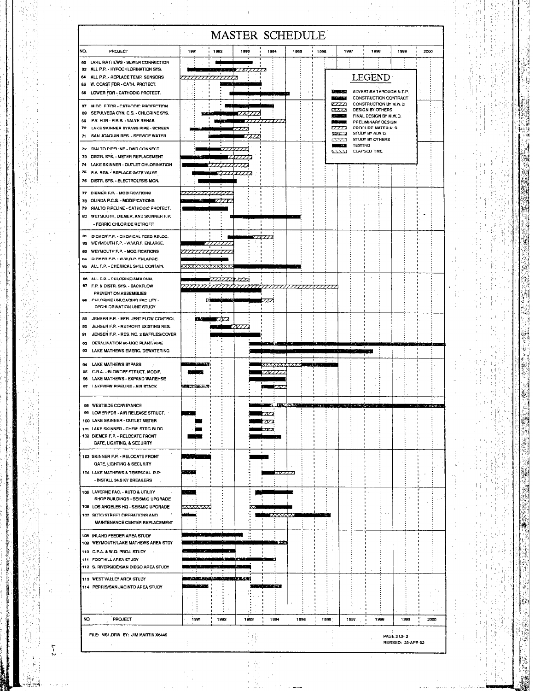|                                                                                                |                                                        |                         |                 | <b>MASTER SCHEDULE</b>      |                                |      |                             |         |                                                   |             |                    |                                 |  |
|------------------------------------------------------------------------------------------------|--------------------------------------------------------|-------------------------|-----------------|-----------------------------|--------------------------------|------|-----------------------------|---------|---------------------------------------------------|-------------|--------------------|---------------------------------|--|
| NQ.<br><b>PROJECT</b>                                                                          | 1991                                                   | 1992                    | 1993            | 1994                        | 1985                           | 1996 |                             | 1997    | 1998                                              | 1999        |                    | 2000                            |  |
| 62 LAKE MATHEWS - SEWER CONNECTION<br>83 ALL P.P. - HYPOCHLORINATION SYS.                      |                                                        |                         |                 |                             |                                |      |                             |         |                                                   |             |                    |                                 |  |
| 64 ALL P.P. - REPLACE TEMP. SENSORS<br>W. COAST FDR - CATH. PROTECT.<br>66                     | ,,,,,,,,,,,,,,                                         | والمستوجب               |                 |                             |                                |      |                             |         | <b>LEGEND</b>                                     |             |                    |                                 |  |
| 66 LOWER FDR - CATHODIC PROTECT.                                                               |                                                        |                         |                 |                             |                                |      | <b>CONTRACT</b><br>المتشابك |         | ADVERTISE THROUGH N.T.P.<br>CONSTRUCTION CONTRACT |             |                    |                                 |  |
| 67 MIDDLE FOR - CATHODIC PROTECTION                                                            |                                                        |                         |                 |                             |                                |      | <i>um</i><br><b>CXXX</b>    |         | CONSTRUCTION BY M.W.D.<br><b>DESIGN BY OTHERS</b> |             |                    |                                 |  |
| SEPULVEDA CYN. C.S. - CHLORINE SYS.<br>69<br>P.V. FDR - P.R.S. - VALVE REHAB.<br>69            |                                                        |                         |                 |                             |                                |      | <b>State Ave</b><br>يرسدن   |         | FINAL DESIGN BY M.W.D.<br>PRELIMINARY DESIGN      |             |                    |                                 |  |
| m<br>LAKE SKINNER BYPASS PIPE - SCREEN<br>SAN JOAQUIN RES. - SERVICE WATER<br>71               |                                                        |                         | 77<br>7.77 Z    |                             |                                |      | 7772<br>Kills al            |         | PROCURE MATERIALS<br>STUDY BY M.W.D.              |             |                    |                                 |  |
| 72 RIALTO PIPELINE - DWR CONNECT                                                               |                                                        |                         |                 |                             |                                |      | 2323<br>- 33                | TESTING | <b>STUDY BY OTHERS</b>                            |             |                    |                                 |  |
| 73 DISTR. SYS. - METER REPLACEMENT                                                             |                                                        |                         |                 |                             |                                |      | m                           |         | <b>ELAPSED TIME</b>                               |             |                    |                                 |  |
| 74 LAKE SKINNER - OUTLET CHLORINATION<br>75<br>P.V. RES. - REPLACE GATE VALVE                  |                                                        |                         |                 |                             |                                |      |                             |         |                                                   |             |                    |                                 |  |
| 76 DISTR, SYS. - ELECTROLYSIS MON.                                                             |                                                        |                         |                 |                             |                                |      |                             |         |                                                   |             |                    |                                 |  |
| 77 DIEMER F.P. - MODIFICATIONS<br>78 OLINDA P.C.S. - MODIFICATIONS                             | animus Maria 7777                                      |                         |                 |                             |                                |      |                             |         |                                                   |             |                    |                                 |  |
| 79 RIALTO PIPELINE - CATHODIC PROTECT.                                                         |                                                        |                         |                 |                             |                                |      |                             |         |                                                   |             |                    |                                 |  |
| 80 WEYMOUTH, DIEMER, AND SKINNER F.P.<br>- FERRIC CHLORIDE RETROFIT                            |                                                        |                         |                 |                             |                                |      |                             |         |                                                   |             |                    |                                 |  |
| 81 DIEMER F.P. - CHEMICAL FEED RELOC.                                                          |                                                        |                         |                 |                             |                                |      |                             |         |                                                   |             |                    |                                 |  |
| 82 WEYMOUTH F.P. - W.W.R.P. ENLARGE.<br>WEYMOUTH F.P. - MODIFICATIONS<br>63                    |                                                        |                         |                 |                             |                                |      |                             |         |                                                   |             |                    |                                 |  |
| DIEMER F.P. - W.W.R.P. ENLARGE.<br>84                                                          |                                                        |                         |                 |                             |                                |      |                             |         |                                                   |             |                    |                                 |  |
| 65 ALL F.P. - CHEMICAL SPILL CONTAIN.<br>86 ALL F.P. - CHLORINE/AMMONIA                        | <u>XXXXXX</u>                                          |                         |                 |                             |                                |      |                             |         |                                                   |             |                    |                                 |  |
| 87 F.P. & DISTR. SYS. - BACKFLOW                                                               | ,,,,,,,,,,,,,,,,,,,,,,,,,,,,,                          |                         | 7773            |                             |                                |      |                             |         |                                                   |             |                    |                                 |  |
| PREVENTION ASSEMBLIES<br>86 CHLORINE UNLOADING FACILITY -                                      | <b>Programmer</b>                                      |                         |                 |                             |                                |      |                             |         |                                                   |             |                    |                                 |  |
| DECHLORINATION UNIT STUDY                                                                      |                                                        |                         |                 |                             |                                |      |                             |         |                                                   |             |                    |                                 |  |
| JENSEN F.P. - EFFLUENT FLOW CONTROL<br>89<br>90<br><b>JENSEN F.P. - RETROFIT EXISTING RES.</b> | 1.37                                                   | $\mathbb{Z}/\mathbb{Z}$ | 777 Z           |                             |                                |      |                             |         |                                                   |             |                    |                                 |  |
| 81<br>JENSEN F.P. - RES. NO. 2 BAFFLES/COVER                                                   |                                                        |                         |                 |                             |                                |      |                             |         |                                                   |             |                    |                                 |  |
| DESALINATION 50-MGD PLANT/PIPE<br>92<br>LAKE MATHEWS EMERG. DEWATERING<br>œ                    |                                                        |                         |                 |                             |                                |      |                             |         | د وه د                                            |             |                    | Marshal (1964) iki wasan secara |  |
| LAKE MATHEWS BYPASS<br>94                                                                      | <b><i><u>Real Secretary Contractor</u></i></b>         |                         |                 |                             |                                |      |                             |         |                                                   |             |                    |                                 |  |
| C.R.A. - BLOWOFF STRUCT, MODIF.<br>95<br>LAKE MATHEWS - EXPAND WAREHSE<br>96                   |                                                        |                         |                 |                             |                                |      |                             |         |                                                   |             |                    |                                 |  |
| 97 LAKEVIEW PIPELINE - AIR STACK                                                               | <b>NEW ORDER COM</b>                                   |                         |                 |                             |                                |      |                             |         |                                                   |             |                    |                                 |  |
| 98 WESTSIDE CONVEYANCE                                                                         |                                                        |                         |                 | m.                          | <b><i>EDITOR RESIDENCE</i></b> |      |                             |         | 化催酶 动卵线 我也是不 铁 计                                  |             |                    |                                 |  |
| 99 LOWER FOR - AIR RELEASE STRUCT.<br>100. LAKE SKINNER - OUTLET METER                         |                                                        |                         |                 | געל                         |                                |      |                             |         |                                                   |             |                    |                                 |  |
| 101 LAKE SKINNER - CHEM. STRG BLDG.                                                            |                                                        |                         |                 |                             |                                |      |                             |         |                                                   |             |                    |                                 |  |
| 102 DIEMER F.P. - RELOCATE FRONT<br>GATE, LIGHTING, & SECURITY                                 |                                                        |                         |                 |                             |                                |      |                             |         |                                                   |             |                    |                                 |  |
| 103 SKINNER F.P. - RELOCATE FRONT                                                              |                                                        |                         |                 |                             |                                |      |                             |         |                                                   |             |                    |                                 |  |
| <b>GATE, LIGHTING &amp; SECURITY</b><br>104 LAKE MATHEWS & TEMESCAL P.P.                       |                                                        |                         |                 | 77777                       |                                |      |                             |         |                                                   |             |                    |                                 |  |
| - INSTALL 34.5 KV BREAKERS                                                                     |                                                        |                         |                 |                             |                                |      |                             |         |                                                   |             |                    |                                 |  |
| 105 LAVERNE FAC. - AUTO & UTILITY                                                              | $\sim$                                                 |                         |                 |                             |                                |      |                             |         |                                                   |             |                    |                                 |  |
| SHOP BUILDINGS - SEISMIC UPGRADE<br>106 LOS ANGELES HQ - SEISMIC UPGRADE                       | <u>xxxxxxx</u>                                         |                         |                 |                             |                                |      |                             |         |                                                   |             |                    |                                 |  |
| 107 SOTO STREET OPERATIONS AND<br>MAINTENANCE CENTER REPLACEMENT                               |                                                        |                         |                 |                             |                                |      |                             |         |                                                   |             |                    |                                 |  |
| 109 INLAND FEEDER AREA STUDY                                                                   |                                                        |                         |                 |                             |                                |      |                             |         |                                                   |             |                    |                                 |  |
| 109 WEYMOUTH/LAKE MATHEWS AREA STOY                                                            |                                                        |                         |                 | <b>TERRITA</b>              |                                |      |                             |         |                                                   |             |                    |                                 |  |
| 110 C.P.A. & W.Q. PROJ. STUDY<br>111 FOOTHILL AREA STUDY                                       |                                                        |                         | <b>CONTRACT</b> | - 33                        |                                |      |                             |         |                                                   |             |                    |                                 |  |
| 112 S. RIVERSIDE/SAN DIEGO AREA STUDY                                                          | المتساوية والمناوية                                    |                         |                 |                             |                                |      |                             |         |                                                   |             |                    |                                 |  |
| 113 WEST VALLEY AREA STUDY<br>114 PERRIS/SAN JACINTO AREA STUDY                                | <b>NY INDRANANA MPORTANA ZA 1919</b><br><b>COMPANY</b> |                         |                 | <b>Barrow Communication</b> |                                |      |                             |         |                                                   |             |                    |                                 |  |
|                                                                                                |                                                        |                         |                 |                             |                                |      |                             |         |                                                   |             |                    |                                 |  |
|                                                                                                |                                                        |                         |                 |                             |                                |      |                             |         |                                                   |             |                    |                                 |  |
| NO.<br>PROJECT                                                                                 | 1991                                                   | 1992                    | 1993            | $\cdots$<br>1994            | 1995                           | 1996 |                             | 1997.   | 1998                                              | 1999        |                    | 2000                            |  |
| FILE: MS1.DRW BY: JIM MARTIN X6445                                                             |                                                        |                         |                 |                             |                                |      |                             |         |                                                   | PAGE 2 OF 2 |                    |                                 |  |
|                                                                                                |                                                        |                         |                 |                             |                                |      |                             |         |                                                   |             | REVISED: 23-APR-92 |                                 |  |
|                                                                                                |                                                        |                         |                 |                             |                                |      |                             |         |                                                   |             |                    |                                 |  |

 $\frac{1}{2}$ 

ek art

 $\frac{1}{2}$ 

 $\frac{1}{\sqrt{2}}$ 

 $\frac{1}{\sqrt{2}}\frac{1}{\sqrt{2}}\frac{1}{\sqrt{2}}\left( \frac{1}{2}\frac{1}{2}\right) ^{2}$ 

**精心的**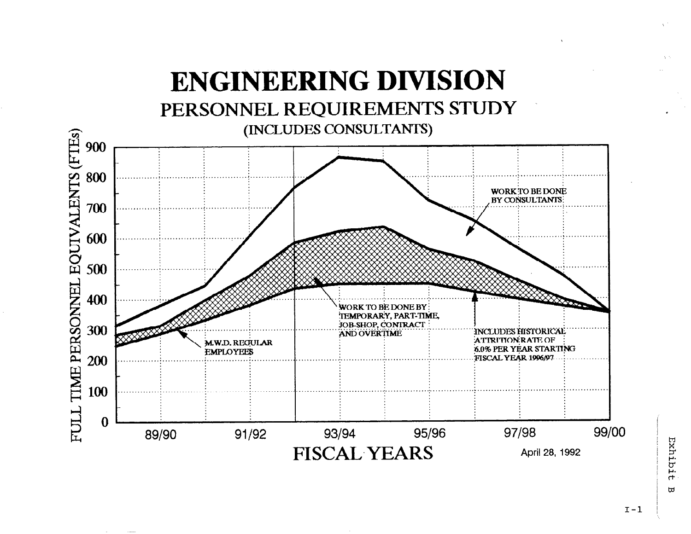